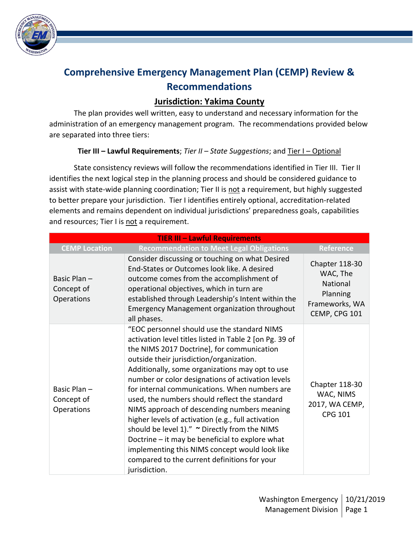

## **Comprehensive Emergency Management Plan (CEMP) Review & Recommendations**

## **Jurisdiction: Yakima County**

The plan provides well written, easy to understand and necessary information for the administration of an emergency management program. The recommendations provided below are separated into three tiers:

## **Tier III – Lawful Requirements**; *Tier II – State Suggestions*; and Tier I – Optional

State consistency reviews will follow the recommendations identified in Tier III. Tier II identifies the next logical step in the planning process and should be considered guidance to assist with state-wide planning coordination; Tier II is not a requirement, but highly suggested to better prepare your jurisdiction. Tier I identifies entirely optional, accreditation-related elements and remains dependent on individual jurisdictions' preparedness goals, capabilities and resources; Tier I is not a requirement.

| <b>TIER III - Lawful Requirements</b>    |                                                                                                                                                                                                                                                                                                                                                                                                                                                                                                                                                                                                                                                                                                                                        |                                                                                       |
|------------------------------------------|----------------------------------------------------------------------------------------------------------------------------------------------------------------------------------------------------------------------------------------------------------------------------------------------------------------------------------------------------------------------------------------------------------------------------------------------------------------------------------------------------------------------------------------------------------------------------------------------------------------------------------------------------------------------------------------------------------------------------------------|---------------------------------------------------------------------------------------|
| <b>CEMP Location</b>                     | <b>Recommendation to Meet Legal Obligations</b>                                                                                                                                                                                                                                                                                                                                                                                                                                                                                                                                                                                                                                                                                        | <b>Reference</b>                                                                      |
| Basic Plan-<br>Concept of<br>Operations  | Consider discussing or touching on what Desired<br>End-States or Outcomes look like. A desired<br>outcome comes from the accomplishment of<br>operational objectives, which in turn are<br>established through Leadership's Intent within the<br><b>Emergency Management organization throughout</b><br>all phases.                                                                                                                                                                                                                                                                                                                                                                                                                    | Chapter 118-30<br>WAC, The<br>National<br>Planning<br>Frameworks, WA<br>CEMP, CPG 101 |
| Basic Plan -<br>Concept of<br>Operations | "EOC personnel should use the standard NIMS<br>activation level titles listed in Table 2 [on Pg. 39 of<br>the NIMS 2017 Doctrine], for communication<br>outside their jurisdiction/organization.<br>Additionally, some organizations may opt to use<br>number or color designations of activation levels<br>for internal communications. When numbers are<br>used, the numbers should reflect the standard<br>NIMS approach of descending numbers meaning<br>higher levels of activation (e.g., full activation<br>should be level 1)." ~ Directly from the NIMS<br>Doctrine - it may be beneficial to explore what<br>implementing this NIMS concept would look like<br>compared to the current definitions for your<br>jurisdiction. | Chapter 118-30<br>WAC, NIMS<br>2017, WA CEMP,<br><b>CPG 101</b>                       |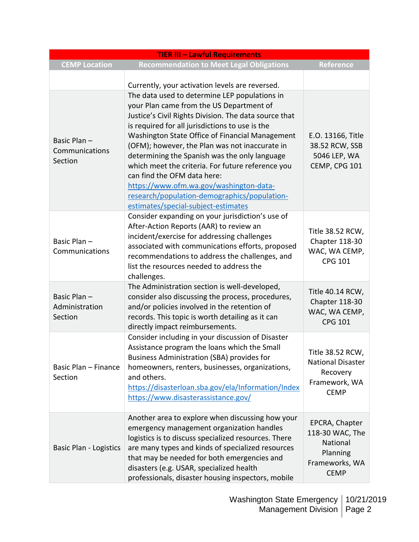| <b>TIER III - Lawful Requirements</b>    |                                                                                                                                                                                                                                                                                                                                                                                                                                                                                                                                                                                   |                                                                                            |
|------------------------------------------|-----------------------------------------------------------------------------------------------------------------------------------------------------------------------------------------------------------------------------------------------------------------------------------------------------------------------------------------------------------------------------------------------------------------------------------------------------------------------------------------------------------------------------------------------------------------------------------|--------------------------------------------------------------------------------------------|
| <b>CEMP Location</b>                     | <b>Recommendation to Meet Legal Obligations</b>                                                                                                                                                                                                                                                                                                                                                                                                                                                                                                                                   | Reference                                                                                  |
|                                          | Currently, your activation levels are reversed.                                                                                                                                                                                                                                                                                                                                                                                                                                                                                                                                   |                                                                                            |
| Basic Plan-<br>Communications<br>Section | The data used to determine LEP populations in<br>your Plan came from the US Department of<br>Justice's Civil Rights Division. The data source that<br>is required for all jurisdictions to use is the<br>Washington State Office of Financial Management<br>(OFM); however, the Plan was not inaccurate in<br>determining the Spanish was the only language<br>which meet the criteria. For future reference you<br>can find the OFM data here:<br>https://www.ofm.wa.gov/washington-data-<br>research/population-demographics/population-<br>estimates/special-subject-estimates | E.O. 13166, Title<br>38.52 RCW, SSB<br>5046 LEP, WA<br>CEMP, CPG 101                       |
| Basic Plan-<br>Communications            | Consider expanding on your jurisdiction's use of<br>After-Action Reports (AAR) to review an<br>incident/exercise for addressing challenges<br>associated with communications efforts, proposed<br>recommendations to address the challenges, and<br>list the resources needed to address the<br>challenges.                                                                                                                                                                                                                                                                       | Title 38.52 RCW,<br>Chapter 118-30<br>WAC, WA CEMP,<br><b>CPG 101</b>                      |
| Basic Plan-<br>Administration<br>Section | The Administration section is well-developed,<br>consider also discussing the process, procedures,<br>and/or policies involved in the retention of<br>records. This topic is worth detailing as it can<br>directly impact reimbursements.                                                                                                                                                                                                                                                                                                                                         | Title 40.14 RCW,<br>Chapter 118-30<br>WAC, WA CEMP,<br><b>CPG 101</b>                      |
| Basic Plan - Finance<br>Section          | Consider including in your discussion of Disaster<br>Assistance program the loans which the Small<br>Business Administration (SBA) provides for<br>homeowners, renters, businesses, organizations,<br>and others.<br>https://disasterloan.sba.gov/ela/Information/Index<br>https://www.disasterassistance.gov/                                                                                                                                                                                                                                                                    | Title 38.52 RCW,<br><b>National Disaster</b><br>Recovery<br>Framework, WA<br><b>CEMP</b>   |
| <b>Basic Plan - Logistics</b>            | Another area to explore when discussing how your<br>emergency management organization handles<br>logistics is to discuss specialized resources. There<br>are many types and kinds of specialized resources<br>that may be needed for both emergencies and<br>disasters (e.g. USAR, specialized health<br>professionals, disaster housing inspectors, mobile                                                                                                                                                                                                                       | EPCRA, Chapter<br>118-30 WAC, The<br>National<br>Planning<br>Frameworks, WA<br><b>CEMP</b> |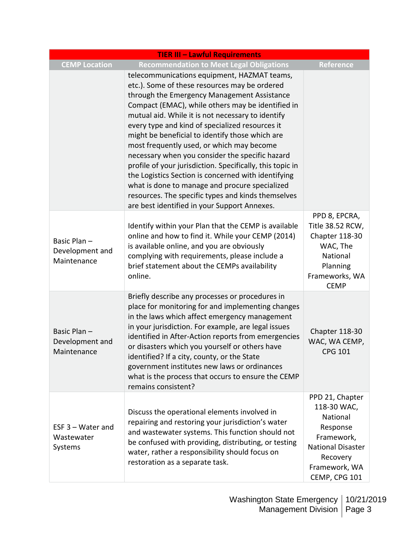| <b>TIER III - Lawful Requirements</b>         |                                                                                                                                                                                                                                                                                                                                                                                                                                                                                                                                                                                                                                                                                                                                         |                                                                                                                                                |
|-----------------------------------------------|-----------------------------------------------------------------------------------------------------------------------------------------------------------------------------------------------------------------------------------------------------------------------------------------------------------------------------------------------------------------------------------------------------------------------------------------------------------------------------------------------------------------------------------------------------------------------------------------------------------------------------------------------------------------------------------------------------------------------------------------|------------------------------------------------------------------------------------------------------------------------------------------------|
| <b>CEMP Location</b>                          | <b>Recommendation to Meet Legal Obligations</b>                                                                                                                                                                                                                                                                                                                                                                                                                                                                                                                                                                                                                                                                                         | <b>Reference</b>                                                                                                                               |
|                                               | telecommunications equipment, HAZMAT teams,<br>etc.). Some of these resources may be ordered<br>through the Emergency Management Assistance<br>Compact (EMAC), while others may be identified in<br>mutual aid. While it is not necessary to identify<br>every type and kind of specialized resources it<br>might be beneficial to identify those which are<br>most frequently used, or which may become<br>necessary when you consider the specific hazard<br>profile of your jurisdiction. Specifically, this topic in<br>the Logistics Section is concerned with identifying<br>what is done to manage and procure specialized<br>resources. The specific types and kinds themselves<br>are best identified in your Support Annexes. |                                                                                                                                                |
| Basic Plan-<br>Development and<br>Maintenance | Identify within your Plan that the CEMP is available<br>online and how to find it. While your CEMP (2014)<br>is available online, and you are obviously<br>complying with requirements, please include a<br>brief statement about the CEMPs availability<br>online.                                                                                                                                                                                                                                                                                                                                                                                                                                                                     | PPD 8, EPCRA,<br>Title 38.52 RCW,<br>Chapter 118-30<br>WAC, The<br>National<br>Planning<br>Frameworks, WA<br><b>CEMP</b>                       |
| Basic Plan-<br>Development and<br>Maintenance | Briefly describe any processes or procedures in<br>place for monitoring for and implementing changes<br>in the laws which affect emergency management<br>in your jurisdiction. For example, are legal issues<br>identified in After-Action reports from emergencies<br>or disasters which you yourself or others have<br>identified? If a city, county, or the State<br>government institutes new laws or ordinances<br>what is the process that occurs to ensure the CEMP<br>remains consistent?                                                                                                                                                                                                                                       | Chapter 118-30<br>WAC, WA CEMP,<br><b>CPG 101</b>                                                                                              |
| ESF $3$ – Water and<br>Wastewater<br>Systems  | Discuss the operational elements involved in<br>repairing and restoring your jurisdiction's water<br>and wastewater systems. This function should not<br>be confused with providing, distributing, or testing<br>water, rather a responsibility should focus on<br>restoration as a separate task.                                                                                                                                                                                                                                                                                                                                                                                                                                      | PPD 21, Chapter<br>118-30 WAC,<br>National<br>Response<br>Framework,<br><b>National Disaster</b><br>Recovery<br>Framework, WA<br>CEMP, CPG 101 |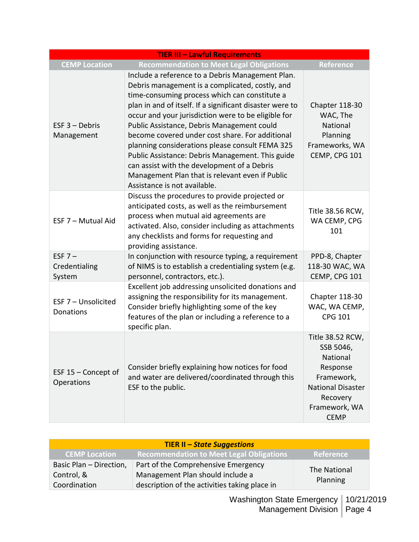| <b>TIER III - Lawful Requirements</b> |                                                                                                                                                                                                                                                                                                                                                                                                                                                                                                                                                                                                                   |                                                                                                                                             |
|---------------------------------------|-------------------------------------------------------------------------------------------------------------------------------------------------------------------------------------------------------------------------------------------------------------------------------------------------------------------------------------------------------------------------------------------------------------------------------------------------------------------------------------------------------------------------------------------------------------------------------------------------------------------|---------------------------------------------------------------------------------------------------------------------------------------------|
| <b>CEMP Location</b>                  | <b>Recommendation to Meet Legal Obligations</b>                                                                                                                                                                                                                                                                                                                                                                                                                                                                                                                                                                   | <b>Reference</b>                                                                                                                            |
| $EST 3 - Debris$<br>Management        | Include a reference to a Debris Management Plan.<br>Debris management is a complicated, costly, and<br>time-consuming process which can constitute a<br>plan in and of itself. If a significant disaster were to<br>occur and your jurisdiction were to be eligible for<br>Public Assistance, Debris Management could<br>become covered under cost share. For additional<br>planning considerations please consult FEMA 325<br>Public Assistance: Debris Management. This guide<br>can assist with the development of a Debris<br>Management Plan that is relevant even if Public<br>Assistance is not available. | Chapter 118-30<br>WAC, The<br>National<br>Planning<br>Frameworks, WA<br>CEMP, CPG 101                                                       |
| ESF 7 - Mutual Aid                    | Discuss the procedures to provide projected or<br>anticipated costs, as well as the reimbursement<br>process when mutual aid agreements are<br>activated. Also, consider including as attachments<br>any checklists and forms for requesting and<br>providing assistance.                                                                                                                                                                                                                                                                                                                                         | Title 38.56 RCW,<br>WA CEMP, CPG<br>101                                                                                                     |
| ESF $7-$<br>Credentialing<br>System   | In conjunction with resource typing, a requirement<br>of NIMS is to establish a credentialing system (e.g.<br>personnel, contractors, etc.).                                                                                                                                                                                                                                                                                                                                                                                                                                                                      | PPD-8, Chapter<br>118-30 WAC, WA<br>CEMP, CPG 101                                                                                           |
| ESF 7 - Unsolicited<br>Donations      | Excellent job addressing unsolicited donations and<br>assigning the responsibility for its management.<br>Consider briefly highlighting some of the key<br>features of the plan or including a reference to a<br>specific plan.                                                                                                                                                                                                                                                                                                                                                                                   | Chapter 118-30<br>WAC, WA CEMP,<br><b>CPG 101</b>                                                                                           |
| ESF $15$ – Concept of<br>Operations   | Consider briefly explaining how notices for food<br>and water are delivered/coordinated through this<br>ESF to the public.                                                                                                                                                                                                                                                                                                                                                                                                                                                                                        | Title 38.52 RCW,<br>SSB 5046,<br>National<br>Response<br>Framework,<br><b>National Disaster</b><br>Recovery<br>Framework, WA<br><b>CEMP</b> |

| <b>TIER II – State Suggestions</b> |                                                 |                     |
|------------------------------------|-------------------------------------------------|---------------------|
| <b>CEMP Location</b>               | <b>Recommendation to Meet Legal Obligations</b> | Reference           |
| Basic Plan - Direction,            | Part of the Comprehensive Emergency             | <b>The National</b> |
| Control, &                         | Management Plan should include a                | Planning            |
| Coordination                       | description of the activities taking place in   |                     |

Washington State Emergency 10/21/2019 Management Division | Page 4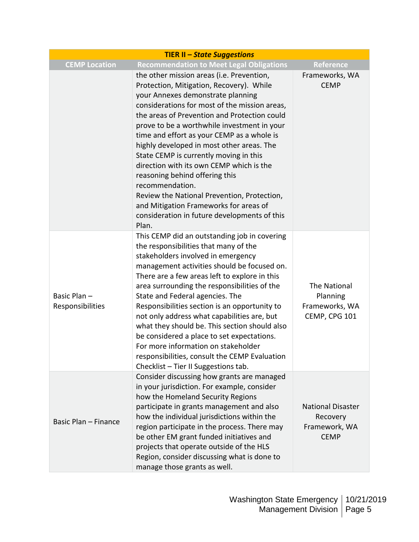| <b>TIER II - State Suggestions</b> |                                                                                                                                                                                                                                                                                                                                                                                                                                                                                                                                                                                                                                                                    |                                                                      |
|------------------------------------|--------------------------------------------------------------------------------------------------------------------------------------------------------------------------------------------------------------------------------------------------------------------------------------------------------------------------------------------------------------------------------------------------------------------------------------------------------------------------------------------------------------------------------------------------------------------------------------------------------------------------------------------------------------------|----------------------------------------------------------------------|
| <b>CEMP Location</b>               | <b>Recommendation to Meet Legal Obligations</b>                                                                                                                                                                                                                                                                                                                                                                                                                                                                                                                                                                                                                    | <b>Reference</b>                                                     |
|                                    | the other mission areas (i.e. Prevention,<br>Protection, Mitigation, Recovery). While<br>your Annexes demonstrate planning<br>considerations for most of the mission areas,<br>the areas of Prevention and Protection could<br>prove to be a worthwhile investment in your<br>time and effort as your CEMP as a whole is<br>highly developed in most other areas. The<br>State CEMP is currently moving in this<br>direction with its own CEMP which is the<br>reasoning behind offering this<br>recommendation.<br>Review the National Prevention, Protection,<br>and Mitigation Frameworks for areas of<br>consideration in future developments of this<br>Plan. | Frameworks, WA<br><b>CEMP</b>                                        |
| Basic Plan-<br>Responsibilities    | This CEMP did an outstanding job in covering<br>the responsibilities that many of the<br>stakeholders involved in emergency<br>management activities should be focused on.<br>There are a few areas left to explore in this<br>area surrounding the responsibilities of the<br>State and Federal agencies. The<br>Responsibilities section is an opportunity to<br>not only address what capabilities are, but<br>what they should be. This section should also<br>be considered a place to set expectations.<br>For more information on stakeholder<br>responsibilities, consult the CEMP Evaluation<br>Checklist - Tier II Suggestions tab.                      | The National<br>Planning<br>Frameworks, WA<br>CEMP, CPG 101          |
| Basic Plan - Finance               | Consider discussing how grants are managed<br>in your jurisdiction. For example, consider<br>how the Homeland Security Regions<br>participate in grants management and also<br>how the individual jurisdictions within the<br>region participate in the process. There may<br>be other EM grant funded initiatives and<br>projects that operate outside of the HLS<br>Region, consider discussing what is done to<br>manage those grants as well.                                                                                                                                                                                                                  | <b>National Disaster</b><br>Recovery<br>Framework, WA<br><b>CEMP</b> |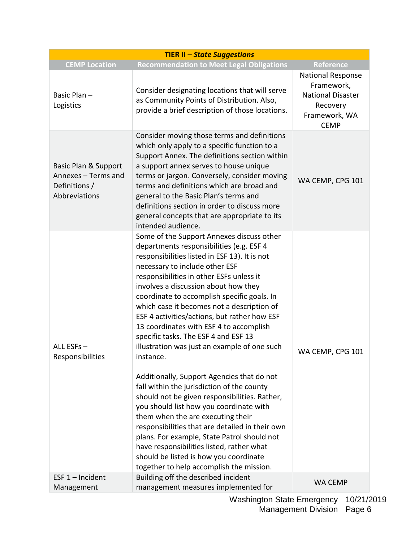| <b>TIER II - State Suggestions</b>                                            |                                                                                                                                                                                                                                                                                                                                                                                                                                                                                                                                                                                                                                                                                                                                                                                                                                                                                                                                                                                                                             |                                                                                                         |
|-------------------------------------------------------------------------------|-----------------------------------------------------------------------------------------------------------------------------------------------------------------------------------------------------------------------------------------------------------------------------------------------------------------------------------------------------------------------------------------------------------------------------------------------------------------------------------------------------------------------------------------------------------------------------------------------------------------------------------------------------------------------------------------------------------------------------------------------------------------------------------------------------------------------------------------------------------------------------------------------------------------------------------------------------------------------------------------------------------------------------|---------------------------------------------------------------------------------------------------------|
| <b>CEMP Location</b>                                                          | <b>Recommendation to Meet Legal Obligations</b>                                                                                                                                                                                                                                                                                                                                                                                                                                                                                                                                                                                                                                                                                                                                                                                                                                                                                                                                                                             | Reference                                                                                               |
| Basic Plan-<br>Logistics                                                      | Consider designating locations that will serve<br>as Community Points of Distribution. Also,<br>provide a brief description of those locations.                                                                                                                                                                                                                                                                                                                                                                                                                                                                                                                                                                                                                                                                                                                                                                                                                                                                             | National Response<br>Framework,<br><b>National Disaster</b><br>Recovery<br>Framework, WA<br><b>CEMP</b> |
| Basic Plan & Support<br>Annexes - Terms and<br>Definitions /<br>Abbreviations | Consider moving those terms and definitions<br>which only apply to a specific function to a<br>Support Annex. The definitions section within<br>a support annex serves to house unique<br>terms or jargon. Conversely, consider moving<br>terms and definitions which are broad and<br>general to the Basic Plan's terms and<br>definitions section in order to discuss more<br>general concepts that are appropriate to its<br>intended audience.                                                                                                                                                                                                                                                                                                                                                                                                                                                                                                                                                                          | WA CEMP, CPG 101                                                                                        |
| ALL ESFs-<br>Responsibilities                                                 | Some of the Support Annexes discuss other<br>departments responsibilities (e.g. ESF 4<br>responsibilities listed in ESF 13). It is not<br>necessary to include other ESF<br>responsibilities in other ESFs unless it<br>involves a discussion about how they<br>coordinate to accomplish specific goals. In<br>which case it becomes not a description of<br>ESF 4 activities/actions, but rather how ESF<br>13 coordinates with ESF 4 to accomplish<br>specific tasks. The ESF 4 and ESF 13<br>illustration was just an example of one such<br>instance.<br>Additionally, Support Agencies that do not<br>fall within the jurisdiction of the county<br>should not be given responsibilities. Rather,<br>you should list how you coordinate with<br>them when the are executing their<br>responsibilities that are detailed in their own<br>plans. For example, State Patrol should not<br>have responsibilities listed, rather what<br>should be listed is how you coordinate<br>together to help accomplish the mission. | WA CEMP, CPG 101                                                                                        |
| ESF $1$ – Incident                                                            | Building off the described incident                                                                                                                                                                                                                                                                                                                                                                                                                                                                                                                                                                                                                                                                                                                                                                                                                                                                                                                                                                                         | WA CEMP                                                                                                 |
| Management                                                                    | management measures implemented for                                                                                                                                                                                                                                                                                                                                                                                                                                                                                                                                                                                                                                                                                                                                                                                                                                                                                                                                                                                         |                                                                                                         |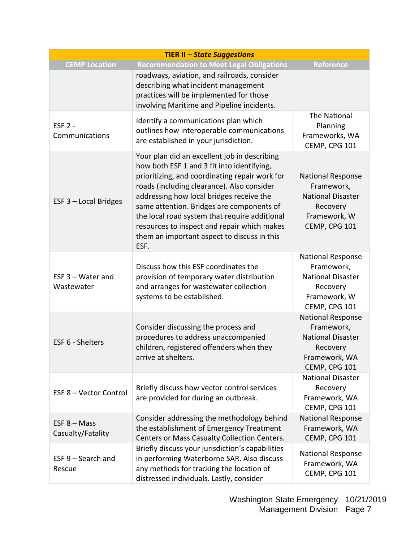| <b>TIER II - State Suggestions</b>  |                                                                                                                                                                                                                                                                                                                                                                                                                                            |                                                                                                                  |
|-------------------------------------|--------------------------------------------------------------------------------------------------------------------------------------------------------------------------------------------------------------------------------------------------------------------------------------------------------------------------------------------------------------------------------------------------------------------------------------------|------------------------------------------------------------------------------------------------------------------|
| <b>CEMP Location</b>                | <b>Recommendation to Meet Legal Obligations</b>                                                                                                                                                                                                                                                                                                                                                                                            | <b>Reference</b>                                                                                                 |
|                                     | roadways, aviation, and railroads, consider<br>describing what incident management<br>practices will be implemented for those<br>involving Maritime and Pipeline incidents.                                                                                                                                                                                                                                                                |                                                                                                                  |
| <b>ESF 2 -</b><br>Communications    | Identify a communications plan which<br>outlines how interoperable communications<br>are established in your jurisdiction.                                                                                                                                                                                                                                                                                                                 | The National<br>Planning<br>Frameworks, WA<br>CEMP, CPG 101                                                      |
| ESF 3 - Local Bridges               | Your plan did an excellent job in describing<br>how both ESF 1 and 3 fit into identifying,<br>prioritizing, and coordinating repair work for<br>roads (including clearance). Also consider<br>addressing how local bridges receive the<br>same attention. Bridges are components of<br>the local road system that require additional<br>resources to inspect and repair which makes<br>them an important aspect to discuss in this<br>ESF. | <b>National Response</b><br>Framework,<br><b>National Disaster</b><br>Recovery<br>Framework, W<br>CEMP, CPG 101  |
| ESF $3$ – Water and<br>Wastewater   | Discuss how this ESF coordinates the<br>provision of temporary water distribution<br>and arranges for wastewater collection<br>systems to be established.                                                                                                                                                                                                                                                                                  | National Response<br>Framework,<br><b>National Disaster</b><br>Recovery<br>Framework, W<br>CEMP, CPG 101         |
| ESF 6 - Shelters                    | Consider discussing the process and<br>procedures to address unaccompanied<br>children, registered offenders when they<br>arrive at shelters.                                                                                                                                                                                                                                                                                              | <b>National Response</b><br>Framework,<br><b>National Disaster</b><br>Recovery<br>Framework, WA<br>CEMP, CPG 101 |
| ESF 8 - Vector Control              | Briefly discuss how vector control services<br>are provided for during an outbreak.                                                                                                                                                                                                                                                                                                                                                        | <b>National Disaster</b><br>Recovery<br>Framework, WA<br>CEMP, CPG 101                                           |
| $EST 8 - Mass$<br>Casualty/Fatality | Consider addressing the methodology behind<br>the establishment of Emergency Treatment<br>Centers or Mass Casualty Collection Centers.                                                                                                                                                                                                                                                                                                     | <b>National Response</b><br>Framework, WA<br>CEMP, CPG 101                                                       |
| $ESF 9 - Search$ and<br>Rescue      | Briefly discuss your jurisdiction's capabilities<br>in performing Waterborne SAR. Also discuss<br>any methods for tracking the location of<br>distressed individuals. Lastly, consider                                                                                                                                                                                                                                                     | <b>National Response</b><br>Framework, WA<br>CEMP, CPG 101                                                       |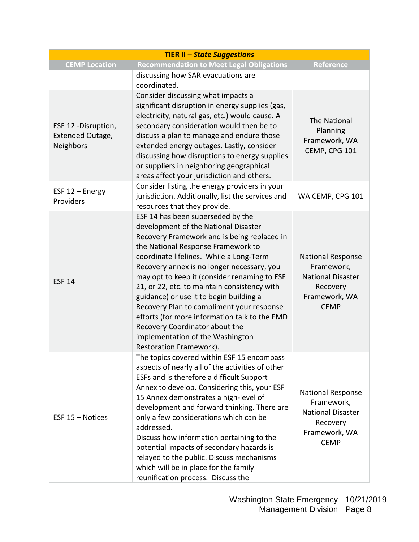| <b>TIER II - State Suggestions</b>                   |                                                                                                                                                                                                                                                                                                                                                                                                                                                                                                                                                                                                   |                                                                                                                |
|------------------------------------------------------|---------------------------------------------------------------------------------------------------------------------------------------------------------------------------------------------------------------------------------------------------------------------------------------------------------------------------------------------------------------------------------------------------------------------------------------------------------------------------------------------------------------------------------------------------------------------------------------------------|----------------------------------------------------------------------------------------------------------------|
| <b>CEMP Location</b>                                 | <b>Recommendation to Meet Legal Obligations</b>                                                                                                                                                                                                                                                                                                                                                                                                                                                                                                                                                   | <b>Reference</b>                                                                                               |
|                                                      | discussing how SAR evacuations are<br>coordinated.                                                                                                                                                                                                                                                                                                                                                                                                                                                                                                                                                |                                                                                                                |
| ESF 12 -Disruption,<br>Extended Outage,<br>Neighbors | Consider discussing what impacts a<br>significant disruption in energy supplies (gas,<br>electricity, natural gas, etc.) would cause. A<br>secondary consideration would then be to<br>discuss a plan to manage and endure those<br>extended energy outages. Lastly, consider<br>discussing how disruptions to energy supplies<br>or suppliers in neighboring geographical<br>areas affect your jurisdiction and others.                                                                                                                                                                          | The National<br>Planning<br>Framework, WA<br>CEMP, CPG 101                                                     |
| ESF 12 - Energy<br>Providers                         | Consider listing the energy providers in your<br>jurisdiction. Additionally, list the services and<br>resources that they provide.                                                                                                                                                                                                                                                                                                                                                                                                                                                                | WA CEMP, CPG 101                                                                                               |
| <b>ESF 14</b>                                        | ESF 14 has been superseded by the<br>development of the National Disaster<br>Recovery Framework and is being replaced in<br>the National Response Framework to<br>coordinate lifelines. While a Long-Term<br>Recovery annex is no longer necessary, you<br>may opt to keep it (consider renaming to ESF<br>21, or 22, etc. to maintain consistency with<br>guidance) or use it to begin building a<br>Recovery Plan to compliment your response<br>efforts (for more information talk to the EMD<br>Recovery Coordinator about the<br>implementation of the Washington<br>Restoration Framework). | <b>National Response</b><br>Framework,<br><b>National Disaster</b><br>Recovery<br>Framework, WA<br><b>CEMP</b> |
| ESF 15 - Notices                                     | The topics covered within ESF 15 encompass<br>aspects of nearly all of the activities of other<br>ESFs and is therefore a difficult Support<br>Annex to develop. Considering this, your ESF<br>15 Annex demonstrates a high-level of<br>development and forward thinking. There are<br>only a few considerations which can be<br>addressed.<br>Discuss how information pertaining to the<br>potential impacts of secondary hazards is<br>relayed to the public. Discuss mechanisms<br>which will be in place for the family<br>reunification process. Discuss the                                 | <b>National Response</b><br>Framework,<br><b>National Disaster</b><br>Recovery<br>Framework, WA<br><b>CEMP</b> |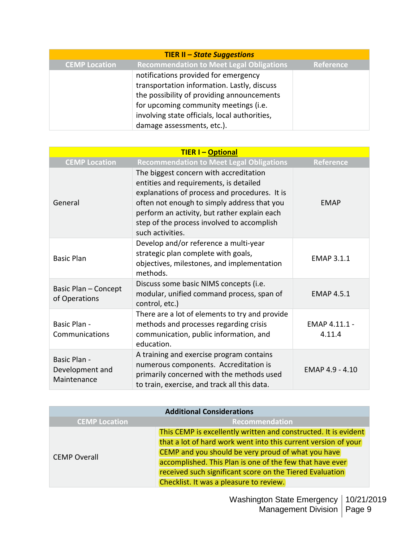| <b>TIER II - State Suggestions</b> |                                                 |           |
|------------------------------------|-------------------------------------------------|-----------|
| <b>CEMP Location</b>               | <b>Recommendation to Meet Legal Obligations</b> | Reference |
|                                    | notifications provided for emergency            |           |
|                                    | transportation information. Lastly, discuss     |           |
|                                    | the possibility of providing announcements      |           |
|                                    | for upcoming community meetings (i.e.           |           |
|                                    | involving state officials, local authorities,   |           |
|                                    | damage assessments, etc.).                      |           |

| <b>TIER I-Optional</b>                         |                                                                                                                                                                                                                                                                                                    |                         |
|------------------------------------------------|----------------------------------------------------------------------------------------------------------------------------------------------------------------------------------------------------------------------------------------------------------------------------------------------------|-------------------------|
| <b>CEMP Location</b>                           | <b>Recommendation to Meet Legal Obligations</b>                                                                                                                                                                                                                                                    | Reference               |
| General                                        | The biggest concern with accreditation<br>entities and requirements, is detailed<br>explanations of process and procedures. It is<br>often not enough to simply address that you<br>perform an activity, but rather explain each<br>step of the process involved to accomplish<br>such activities. | <b>EMAP</b>             |
| <b>Basic Plan</b>                              | Develop and/or reference a multi-year<br>strategic plan complete with goals,<br>objectives, milestones, and implementation<br>methods.                                                                                                                                                             | <b>EMAP 3.1.1</b>       |
| Basic Plan - Concept<br>of Operations          | Discuss some basic NIMS concepts (i.e.<br>modular, unified command process, span of<br>control, etc.)                                                                                                                                                                                              | <b>EMAP 4.5.1</b>       |
| Basic Plan -<br>Communications                 | There are a lot of elements to try and provide<br>methods and processes regarding crisis<br>communication, public information, and<br>education.                                                                                                                                                   | EMAP 4.11.1 -<br>4.11.4 |
| Basic Plan -<br>Development and<br>Maintenance | A training and exercise program contains<br>numerous components. Accreditation is<br>primarily concerned with the methods used<br>to train, exercise, and track all this data.                                                                                                                     | EMAP 4.9 - 4.10         |

| <b>Additional Considerations</b> |                                                                 |  |
|----------------------------------|-----------------------------------------------------------------|--|
| <b>CEMP Location</b>             | Recommendation                                                  |  |
|                                  | This CEMP is excellently written and constructed. It is evident |  |
|                                  | that a lot of hard work went into this current version of your  |  |
| <b>CEMP Overall</b>              | CEMP and you should be very proud of what you have              |  |
|                                  | accomplished. This Plan is one of the few that have ever        |  |
|                                  | received such significant score on the Tiered Evaluation        |  |
|                                  | Checklist. It was a pleasure to review.                         |  |